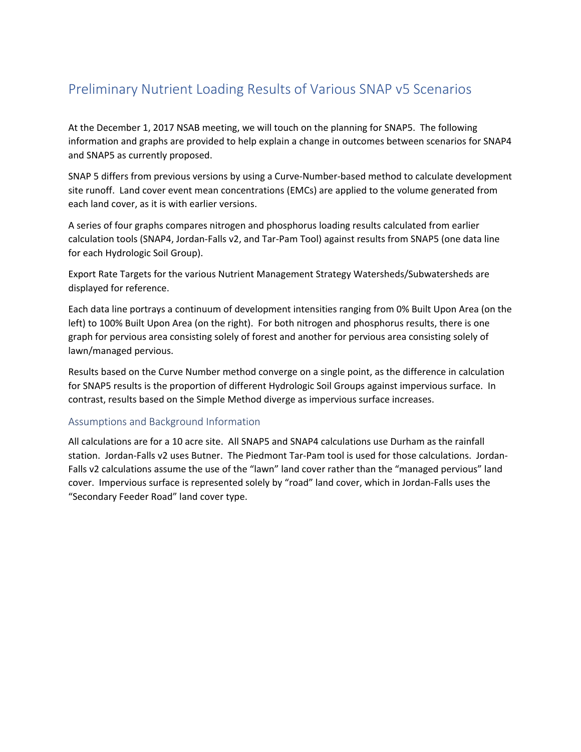## Preliminary Nutrient Loading Results of Various SNAP v5 Scenarios

At the December 1, 2017 NSAB meeting, we will touch on the planning for SNAP5. The following information and graphs are provided to help explain a change in outcomes between scenarios for SNAP4 and SNAP5 as currently proposed.

SNAP 5 differs from previous versions by using a Curve-Number-based method to calculate development site runoff. Land cover event mean concentrations (EMCs) are applied to the volume generated from each land cover, as it is with earlier versions.

A series of four graphs compares nitrogen and phosphorus loading results calculated from earlier calculation tools (SNAP4, Jordan‐Falls v2, and Tar‐Pam Tool) against results from SNAP5 (one data line for each Hydrologic Soil Group).

Export Rate Targets for the various Nutrient Management Strategy Watersheds/Subwatersheds are displayed for reference.

Each data line portrays a continuum of development intensities ranging from 0% Built Upon Area (on the left) to 100% Built Upon Area (on the right). For both nitrogen and phosphorus results, there is one graph for pervious area consisting solely of forest and another for pervious area consisting solely of lawn/managed pervious.

Results based on the Curve Number method converge on a single point, as the difference in calculation for SNAP5 results is the proportion of different Hydrologic Soil Groups against impervious surface. In contrast, results based on the Simple Method diverge as impervious surface increases.

## Assumptions and Background Information

All calculations are for a 10 acre site. All SNAP5 and SNAP4 calculations use Durham as the rainfall station. Jordan-Falls v2 uses Butner. The Piedmont Tar-Pam tool is used for those calculations. Jordan-Falls v2 calculations assume the use of the "lawn" land cover rather than the "managed pervious" land cover. Impervious surface is represented solely by "road" land cover, which in Jordan‐Falls uses the "Secondary Feeder Road" land cover type.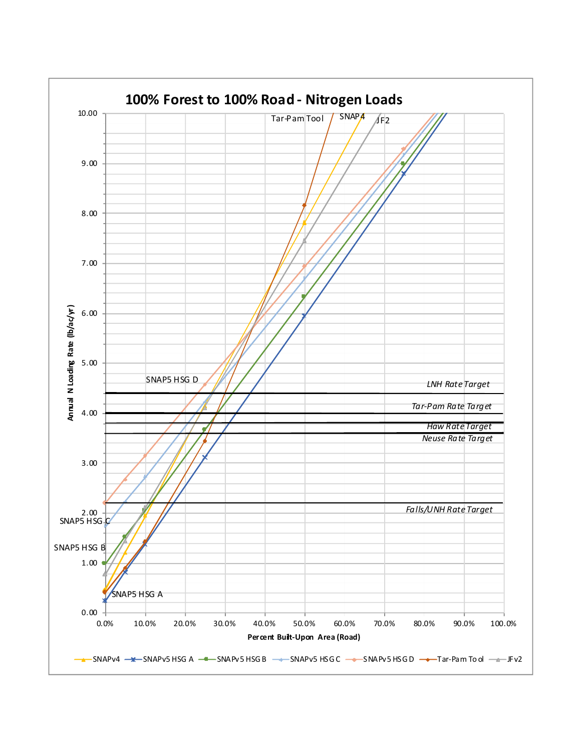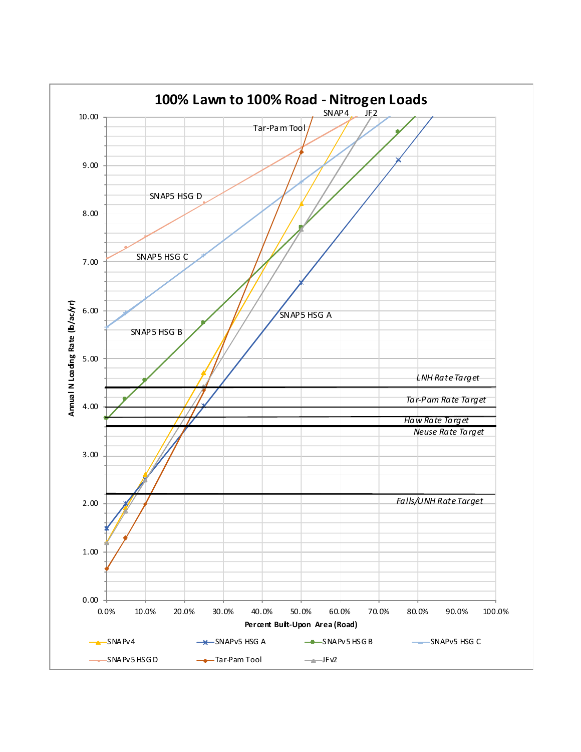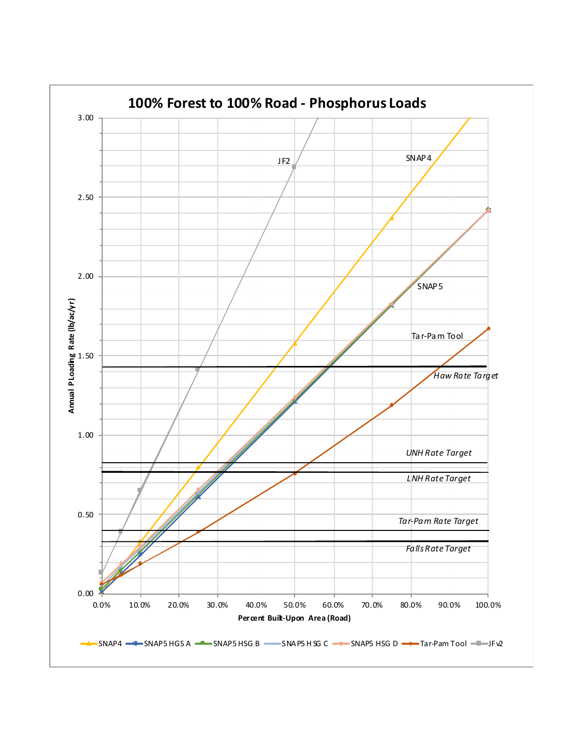